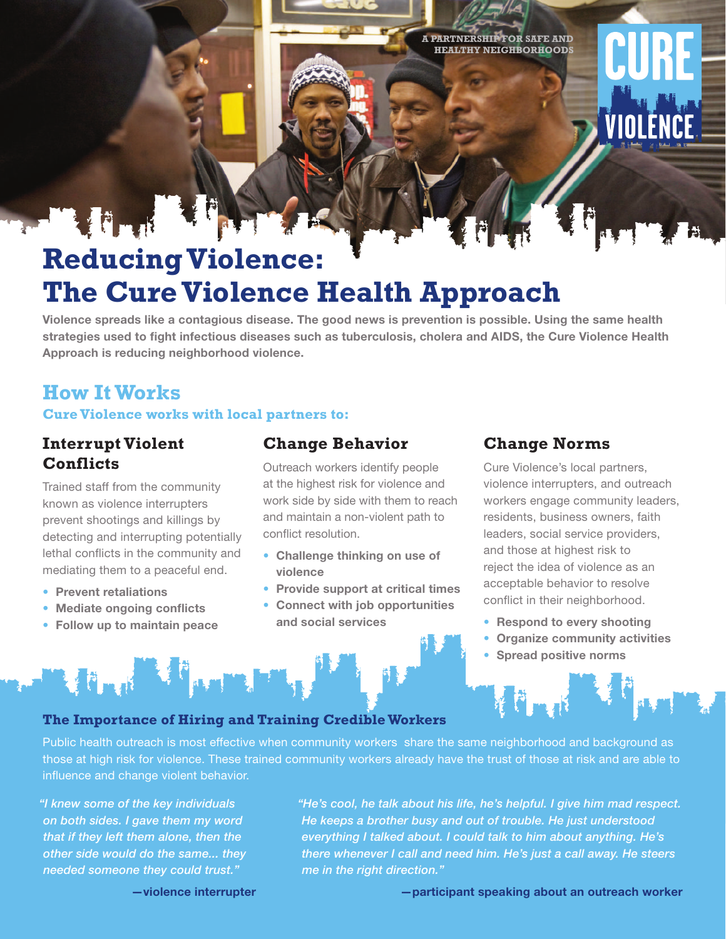**A PARTNERSHIP FOR SAFE AND HEALTHY NEIGHBORHOODS**

# CURE VIOLËNCE.

# **Reducing Violence: The Cure Violence Health Approach**

**Violence spreads like a contagious disease. The good news is prevention is possible. Using the same health strategies used to fight infectious diseases such as tuberculosis, cholera and AIDS, the Cure Violence Health Approach is reducing neighborhood violence.**

## **How It Works Cure Violence works with local partners to:**

### **Interrupt Violent Conflicts**

File Richard

Trained staff from the community known as violence interrupters prevent shootings and killings by detecting and interrupting potentially lethal conflicts in the community and mediating them to a peaceful end.

- **Prevent retaliations**
- **Mediate ongoing conflicts**
- **Follow up to maintain peace**

Martin Martin Jan

#### **Change Behavior**

Outreach workers identify people at the highest risk for violence and work side by side with them to reach and maintain a non-violent path to conflict resolution.

- **Challenge thinking on use of violence**
- **Provide support at critical times**
- **Connect with job opportunities and social services**

#### **Change Norms**

Cure Violence's local partners, violence interrupters, and outreach workers engage community leaders, residents, business owners, faith leaders, social service providers, and those at highest risk to reject the idea of violence as an acceptable behavior to resolve conflict in their neighborhood.

- **Respond to every shooting**
- **Organize community activities**
- **Spread positive norms**

**F** 

#### **The Importance of Hiring and Training Credible Workers**

Public health outreach is most effective when community workers share the same neighborhood and background as those at high risk for violence. These trained community workers already have the trust of those at risk and are able to influence and change violent behavior.

*"I knew some of the key individuals on both sides. I gave them my word that if they left them alone, then the other side would do the same... they needed someone they could trust."* 

*"He's cool, he talk about his life, he's helpful. I give him mad respect. He keeps a brother busy and out of trouble. He just understood everything I talked about. I could talk to him about anything. He's there whenever I call and need him. He's just a call away. He steers me in the right direction."* 

**—violence interrupter**

**—participant speaking about an outreach worker**